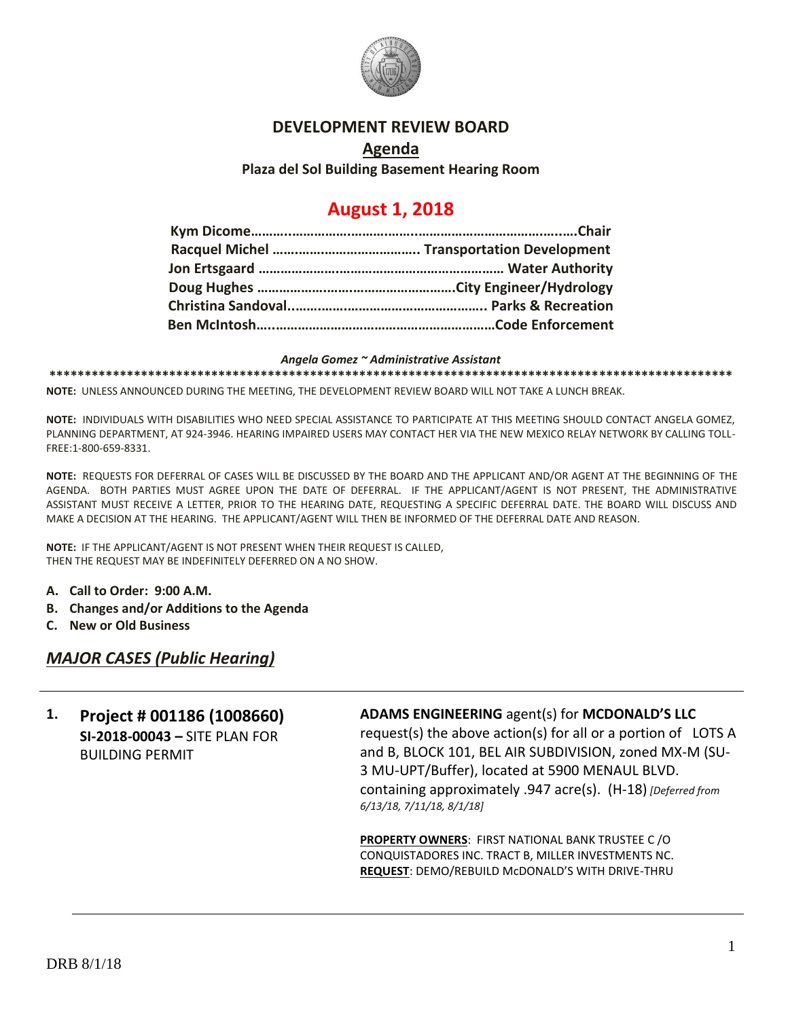

### **DEVELOPMENT REVIEW BOARD**

### **Agenda Plaza del Sol Building Basement Hearing Room**

# **August 1, 2018**

#### *Angela Gomez ~ Administrative Assistant*

**\*\*\*\*\*\*\*\*\*\*\*\*\*\*\*\*\*\*\*\*\*\*\*\*\*\*\*\*\*\*\*\*\*\*\*\*\*\*\*\*\*\*\*\*\*\*\*\*\*\*\*\*\*\*\*\*\*\*\*\*\*\*\*\*\*\*\*\*\*\*\*\*\*\*\*\*\*\*\*\*\*\*\*\*\*\*\*\*\*\*\*\*\*\*\*\*\***

**NOTE:** UNLESS ANNOUNCED DURING THE MEETING, THE DEVELOPMENT REVIEW BOARD WILL NOT TAKE A LUNCH BREAK.

**NOTE:** INDIVIDUALS WITH DISABILITIES WHO NEED SPECIAL ASSISTANCE TO PARTICIPATE AT THIS MEETING SHOULD CONTACT ANGELA GOMEZ, PLANNING DEPARTMENT, AT 924-3946. HEARING IMPAIRED USERS MAY CONTACT HER VIA THE NEW MEXICO RELAY NETWORK BY CALLING TOLL-FREE:1-800-659-8331.

**NOTE:** REQUESTS FOR DEFERRAL OF CASES WILL BE DISCUSSED BY THE BOARD AND THE APPLICANT AND/OR AGENT AT THE BEGINNING OF THE AGENDA. BOTH PARTIES MUST AGREE UPON THE DATE OF DEFERRAL. IF THE APPLICANT/AGENT IS NOT PRESENT, THE ADMINISTRATIVE ASSISTANT MUST RECEIVE A LETTER, PRIOR TO THE HEARING DATE, REQUESTING A SPECIFIC DEFERRAL DATE. THE BOARD WILL DISCUSS AND MAKE A DECISION AT THE HEARING. THE APPLICANT/AGENT WILL THEN BE INFORMED OF THE DEFERRAL DATE AND REASON.

**NOTE:** IF THE APPLICANT/AGENT IS NOT PRESENT WHEN THEIR REQUEST IS CALLED, THEN THE REQUEST MAY BE INDEFINITELY DEFERRED ON A NO SHOW.

- **A. Call to Order: 9:00 A.M.**
- **B. Changes and/or Additions to the Agenda**
- **C. New or Old Business**

*MAJOR CASES (Public Hearing)*

## **1. Project # 001186 (1008660) SI-2018-00043 –** SITE PLAN FOR BUILDING PERMIT

### **ADAMS ENGINEERING** agent(s) for **MCDONALD'S LLC**

request(s) the above action(s) for all or a portion of LOTS A and B, BLOCK 101, BEL AIR SUBDIVISION, zoned MX-M (SU-3 MU-UPT/Buffer), located at 5900 MENAUL BLVD. containing approximately .947 acre(s). (H-18) *[Deferred from 6/13/18, 7/11/18, 8/1/18]*

**PROPERTY OWNERS**: FIRST NATIONAL BANK TRUSTEE C /O CONQUISTADORES INC. TRACT B, MILLER INVESTMENTS NC. **REQUEST**: DEMO/REBUILD McDONALD'S WITH DRIVE-THRU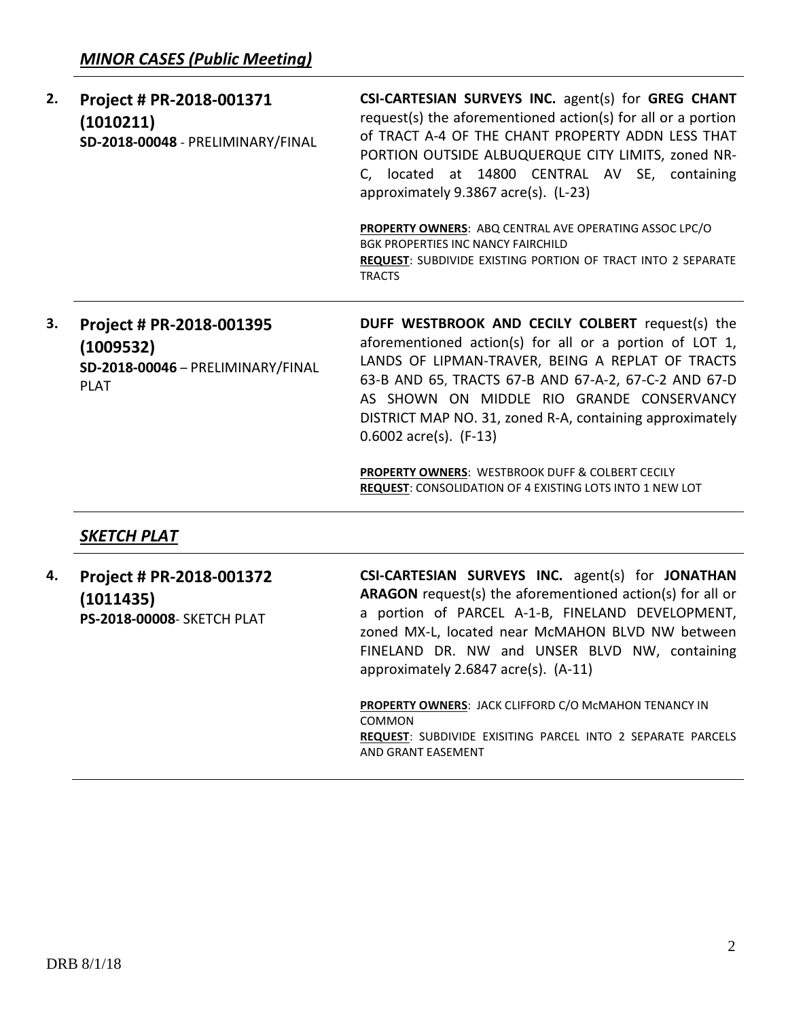| 2. | Project # PR-2018-001371                       | CSI-CARTESIAN SURVEYS INC. agent(s) for GREG CHANT                                                                                                                                                                                                                  |
|----|------------------------------------------------|---------------------------------------------------------------------------------------------------------------------------------------------------------------------------------------------------------------------------------------------------------------------|
|    | (1010211)<br>SD-2018-00048 - PRELIMINARY/FINAL | request(s) the aforementioned action(s) for all or a portion<br>of TRACT A-4 OF THE CHANT PROPERTY ADDN LESS THAT<br>PORTION OUTSIDE ALBUQUERQUE CITY LIMITS, zoned NR-<br>located at 14800 CENTRAL AV SE, containing<br>C.<br>approximately 9.3867 acre(s). (L-23) |
|    |                                                | PROPERTY OWNERS: ABQ CENTRAL AVE OPERATING ASSOC LPC/O<br>BGK PROPERTIES INC NANCY FAIRCHILD                                                                                                                                                                        |

**REQUEST**: SUBDIVIDE EXISTING PORTION OF TRACT INTO 2 SEPARATE **TRACTS** 

**3. Project # PR-2018-001395 (1009532) SD-2018-00046** – PRELIMINARY/FINAL PLAT

**DUFF WESTBROOK AND CECILY COLBERT** request(s) the aforementioned action(s) for all or a portion of LOT 1, LANDS OF LIPMAN-TRAVER, BEING A REPLAT OF TRACTS 63-B AND 65, TRACTS 67-B AND 67-A-2, 67-C-2 AND 67-D AS SHOWN ON MIDDLE RIO GRANDE CONSERVANCY DISTRICT MAP NO. 31, zoned R-A, containing approximately 0.6002 acre(s). (F-13)

**PROPERTY OWNERS**: WESTBROOK DUFF & COLBERT CECILY **REQUEST**: CONSOLIDATION OF 4 EXISTING LOTS INTO 1 NEW LOT

# *SKETCH PLAT*

**4. Project # PR-2018-001372 (1011435) PS-2018-00008**- SKETCH PLAT

**CSI-CARTESIAN SURVEYS INC.** agent(s) for **JONATHAN ARAGON** request(s) the aforementioned action(s) for all or a portion of PARCEL A-1-B, FINELAND DEVELOPMENT, zoned MX-L, located near McMAHON BLVD NW between FINELAND DR. NW and UNSER BLVD NW, containing approximately 2.6847 acre(s). (A-11)

**PROPERTY OWNERS**: JACK CLIFFORD C/O McMAHON TENANCY IN COMMON **REQUEST**: SUBDIVIDE EXISITING PARCEL INTO 2 SEPARATE PARCELS AND GRANT EASEMENT